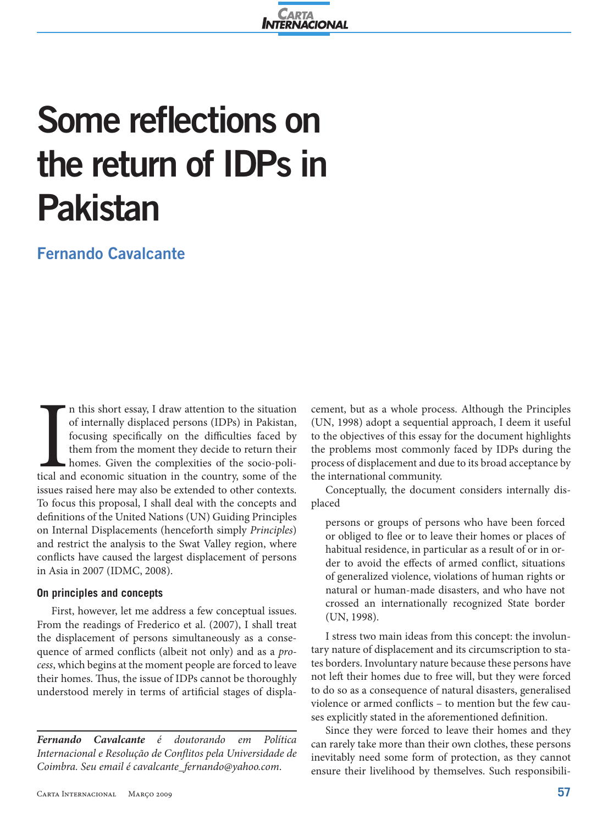

# **Some reflections on the return of IDPs in Pakistan**

## **Fernando Cavalcante**

Inches<br>Incolares de la contexte de la context<br>
de la contexte de la contexte de la contexte de la context<br>
de la contexte de la contexte de la contexte de la context<br>
de la contexte de la contexte de la contexte de la cont n this short essay, I draw attention to the situation of internally displaced persons (IDPs) in Pakistan, focusing specifically on the difficulties faced by them from the moment they decide to return their homes. Given the complexities of the socio-political and economic situation in the country, some of the issues raised here may also be extended to other contexts. To focus this proposal, I shall deal with the concepts and definitions of the United Nations (UN) Guiding Principles on Internal Displacements (henceforth simply *Principles*) and restrict the analysis to the Swat Valley region, where conflicts have caused the largest displacement of persons in Asia in 2007 (IDMC, 2008).

#### **On principles and concepts**

First, however, let me address a few conceptual issues. From the readings of Frederico et al. (2007), I shall treat the displacement of persons simultaneously as a consequence of armed conflicts (albeit not only) and as a *process*, which begins at the moment people are forced to leave their homes. Thus, the issue of IDPs cannot be thoroughly understood merely in terms of artificial stages of displa-

*Fernando Cavalcante é doutorando em Política Internacional e Resolução de Conflitos pela Universidade de Coimbra. Seu email é cavalcante\_fernando@yahoo.com*.

cement, but as a whole process. Although the Principles (UN, 1998) adopt a sequential approach, I deem it useful to the objectives of this essay for the document highlights the problems most commonly faced by IDPs during the process of displacement and due to its broad acceptance by the international community.

Conceptually, the document considers internally displaced

persons or groups of persons who have been forced or obliged to flee or to leave their homes or places of habitual residence, in particular as a result of or in order to avoid the effects of armed conflict, situations of generalized violence, violations of human rights or natural or human-made disasters, and who have not crossed an internationally recognized State border (UN, 1998).

I stress two main ideas from this concept: the involuntary nature of displacement and its circumscription to states borders. Involuntary nature because these persons have not left their homes due to free will, but they were forced to do so as a consequence of natural disasters, generalised violence or armed conflicts – to mention but the few causes explicitly stated in the aforementioned definition.

Since they were forced to leave their homes and they can rarely take more than their own clothes, these persons inevitably need some form of protection, as they cannot ensure their livelihood by themselves. Such responsibili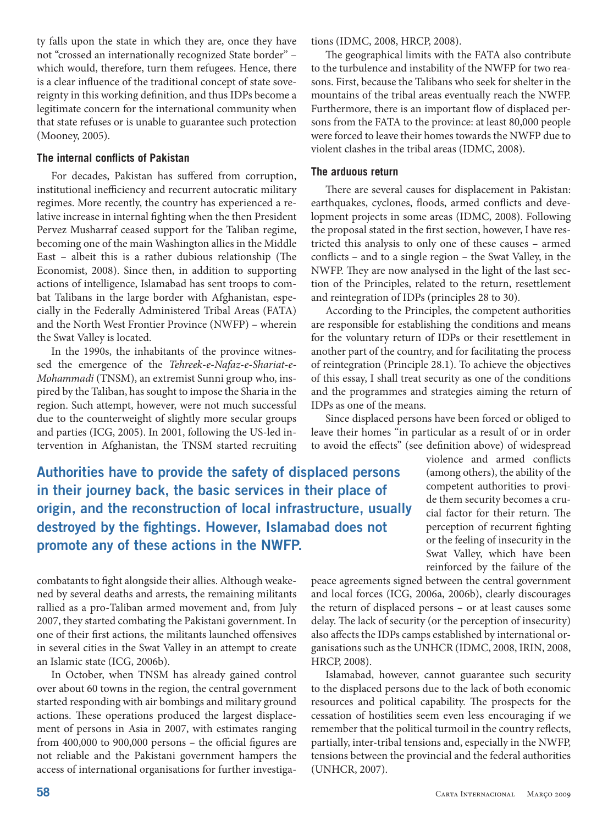ty falls upon the state in which they are, once they have not "crossed an internationally recognized State border" – which would, therefore, turn them refugees. Hence, there is a clear influence of the traditional concept of state sovereignty in this working definition, and thus IDPs become a legitimate concern for the international community when that state refuses or is unable to guarantee such protection (Mooney, 2005).

#### **The internal conflicts of Pakistan**

For decades, Pakistan has suffered from corruption, institutional inefficiency and recurrent autocratic military regimes. More recently, the country has experienced a relative increase in internal fighting when the then President Pervez Musharraf ceased support for the Taliban regime, becoming one of the main Washington allies in the Middle East – albeit this is a rather dubious relationship (The Economist, 2008). Since then, in addition to supporting actions of intelligence, Islamabad has sent troops to combat Talibans in the large border with Afghanistan, especially in the Federally Administered Tribal Areas (FATA) and the North West Frontier Province (NWFP) – wherein the Swat Valley is located.

In the 1990s, the inhabitants of the province witnessed the emergence of the *Tehreek-e-Nafaz-e-Shariat-e-Mohammadi* (TNSM), an extremist Sunni group who, inspired by the Taliban, has sought to impose the Sharia in the region. Such attempt, however, were not much successful due to the counterweight of slightly more secular groups and parties (ICG, 2005). In 2001, following the US-led intervention in Afghanistan, the TNSM started recruiting tions (IDMC, 2008, HRCP, 2008).

The geographical limits with the FATA also contribute to the turbulence and instability of the NWFP for two reasons. First, because the Talibans who seek for shelter in the mountains of the tribal areas eventually reach the NWFP. Furthermore, there is an important flow of displaced persons from the FATA to the province: at least 80,000 people were forced to leave their homes towards the NWFP due to violent clashes in the tribal areas (IDMC, 2008).

#### **The arduous return**

There are several causes for displacement in Pakistan: earthquakes, cyclones, floods, armed conflicts and development projects in some areas (IDMC, 2008). Following the proposal stated in the first section, however, I have restricted this analysis to only one of these causes – armed conflicts – and to a single region – the Swat Valley, in the NWFP. They are now analysed in the light of the last section of the Principles, related to the return, resettlement and reintegration of IDPs (principles 28 to 30).

According to the Principles, the competent authorities are responsible for establishing the conditions and means for the voluntary return of IDPs or their resettlement in another part of the country, and for facilitating the process of reintegration (Principle 28.1). To achieve the objectives of this essay, I shall treat security as one of the conditions and the programmes and strategies aiming the return of IDPs as one of the means.

Since displaced persons have been forced or obliged to leave their homes "in particular as a result of or in order to avoid the effects" (see definition above) of widespread

**Authorities have to provide the safety of displaced persons in their journey back, the basic services in their place of origin, and the reconstruction of local infrastructure, usually destroyed by the fightings. However, Islamabad does not promote any of these actions in the NWFP.**

violence and armed conflicts (among others), the ability of the competent authorities to provide them security becomes a crucial factor for their return. The perception of recurrent fighting or the feeling of insecurity in the Swat Valley, which have been reinforced by the failure of the

combatants to fight alongside their allies. Although weakened by several deaths and arrests, the remaining militants rallied as a pro-Taliban armed movement and, from July 2007, they started combating the Pakistani government. In one of their first actions, the militants launched offensives in several cities in the Swat Valley in an attempt to create an Islamic state (ICG, 2006b).

In October, when TNSM has already gained control over about 60 towns in the region, the central government started responding with air bombings and military ground actions. These operations produced the largest displacement of persons in Asia in 2007, with estimates ranging from 400,000 to 900,000 persons – the official figures are not reliable and the Pakistani government hampers the access of international organisations for further investigapeace agreements signed between the central government and local forces (ICG, 2006a, 2006b), clearly discourages the return of displaced persons – or at least causes some delay. The lack of security (or the perception of insecurity) also affects the IDPs camps established by international organisations such as the UNHCR (IDMC, 2008, IRIN, 2008, HRCP, 2008).

Islamabad, however, cannot guarantee such security to the displaced persons due to the lack of both economic resources and political capability. The prospects for the cessation of hostilities seem even less encouraging if we remember that the political turmoil in the country reflects, partially, inter-tribal tensions and, especially in the NWFP, tensions between the provincial and the federal authorities (UNHCR, 2007).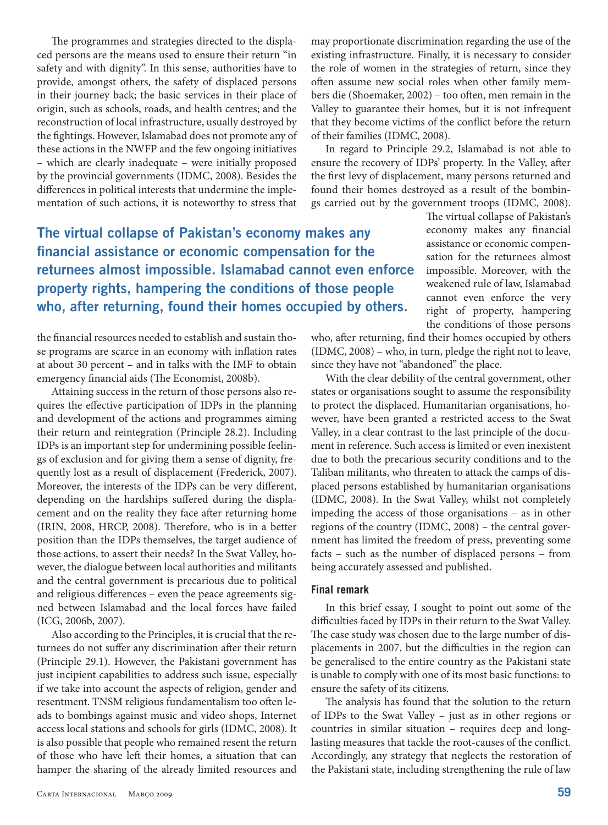The programmes and strategies directed to the displaced persons are the means used to ensure their return "in safety and with dignity". In this sense, authorities have to provide, amongst others, the safety of displaced persons in their journey back; the basic services in their place of origin, such as schools, roads, and health centres; and the reconstruction of local infrastructure, usually destroyed by the fightings. However, Islamabad does not promote any of these actions in the NWFP and the few ongoing initiatives – which are clearly inadequate – were initially proposed by the provincial governments (IDMC, 2008). Besides the differences in political interests that undermine the implementation of such actions, it is noteworthy to stress that

may proportionate discrimination regarding the use of the existing infrastructure. Finally, it is necessary to consider the role of women in the strategies of return, since they often assume new social roles when other family members die (Shoemaker, 2002) – too often, men remain in the Valley to guarantee their homes, but it is not infrequent that they become victims of the conflict before the return of their families (IDMC, 2008).

In regard to Principle 29.2, Islamabad is not able to ensure the recovery of IDPs' property. In the Valley, after the first levy of displacement, many persons returned and found their homes destroyed as a result of the bombings carried out by the government troops (IDMC, 2008).

## **The virtual collapse of Pakistan's economy makes any financial assistance or economic compensation for the returnees almost impossible. Islamabad cannot even enforce property rights, hampering the conditions of those people who, after returning, found their homes occupied by others.**

the financial resources needed to establish and sustain those programs are scarce in an economy with inflation rates at about 30 percent – and in talks with the IMF to obtain emergency financial aids (The Economist, 2008b).

Attaining success in the return of those persons also requires the effective participation of IDPs in the planning and development of the actions and programmes aiming their return and reintegration (Principle 28.2). Including IDPs is an important step for undermining possible feelings of exclusion and for giving them a sense of dignity, frequently lost as a result of displacement (Frederick, 2007). Moreover, the interests of the IDPs can be very different, depending on the hardships suffered during the displacement and on the reality they face after returning home (IRIN, 2008, HRCP, 2008). Therefore, who is in a better position than the IDPs themselves, the target audience of those actions, to assert their needs? In the Swat Valley, however, the dialogue between local authorities and militants and the central government is precarious due to political and religious differences – even the peace agreements signed between Islamabad and the local forces have failed (ICG, 2006b, 2007).

Also according to the Principles, it is crucial that the returnees do not suffer any discrimination after their return (Principle 29.1). However, the Pakistani government has just incipient capabilities to address such issue, especially if we take into account the aspects of religion, gender and resentment. TNSM religious fundamentalism too often leads to bombings against music and video shops, Internet access local stations and schools for girls (IDMC, 2008). It is also possible that people who remained resent the return of those who have left their homes, a situation that can hamper the sharing of the already limited resources and The virtual collapse of Pakistan's economy makes any financial assistance or economic compensation for the returnees almost impossible. Moreover, with the weakened rule of law, Islamabad cannot even enforce the very right of property, hampering the conditions of those persons

who, after returning, find their homes occupied by others (IDMC, 2008) – who, in turn, pledge the right not to leave, since they have not "abandoned" the place.

With the clear debility of the central government, other states or organisations sought to assume the responsibility to protect the displaced. Humanitarian organisations, however, have been granted a restricted access to the Swat Valley, in a clear contrast to the last principle of the document in reference. Such access is limited or even inexistent due to both the precarious security conditions and to the Taliban militants, who threaten to attack the camps of displaced persons established by humanitarian organisations (IDMC, 2008). In the Swat Valley, whilst not completely impeding the access of those organisations – as in other regions of the country (IDMC, 2008) – the central government has limited the freedom of press, preventing some facts – such as the number of displaced persons – from being accurately assessed and published.

#### **Final remark**

In this brief essay, I sought to point out some of the difficulties faced by IDPs in their return to the Swat Valley. The case study was chosen due to the large number of displacements in 2007, but the difficulties in the region can be generalised to the entire country as the Pakistani state is unable to comply with one of its most basic functions: to ensure the safety of its citizens.

The analysis has found that the solution to the return of IDPs to the Swat Valley – just as in other regions or countries in similar situation – requires deep and longlasting measures that tackle the root-causes of the conflict. Accordingly, any strategy that neglects the restoration of the Pakistani state, including strengthening the rule of law